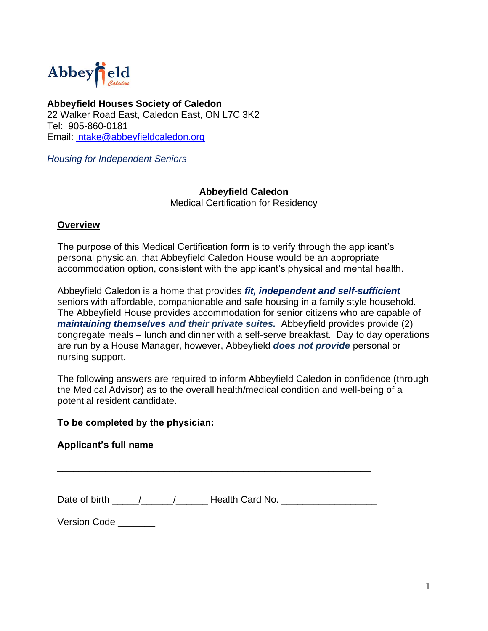

 **Abbeyfield Houses Society of Caledon** 22 Walker Road East, Caledon East, ON L7C 3K2 Tel: 905-860-0181 Email: [intake@abbeyfieldcaledon.org](file:///C:/Users/Sue/Downloads/intake@abbeyfieldcaledon.org)

*Housing for Independent Seniors*

## **Abbeyfield Caledon**

Medical Certification for Residency

## **Overview**

The purpose of this Medical Certification form is to verify through the applicant's personal physician, that Abbeyfield Caledon House would be an appropriate accommodation option, consistent with the applicant's physical and mental health.

Abbeyfield Caledon is a home that provides *fit, independent and self-sufficient*  seniors with affordable, companionable and safe housing in a family style household. The Abbeyfield House provides accommodation for senior citizens who are capable of *maintaining themselves and their private suites.* Abbeyfield provides provide (2) congregate meals – lunch and dinner with a self-serve breakfast. Day to day operations are run by a House Manager, however, Abbeyfield *does not provide* personal or nursing support.

The following answers are required to inform Abbeyfield Caledon in confidence (through the Medical Advisor) as to the overall health/medical condition and well-being of a potential resident candidate.

## **To be completed by the physician:**

## **Applicant's full name**

Date of birth \_\_\_\_\_/\_\_\_\_\_/\_\_\_\_\_\_\_\_\_ Health Card No. \_\_\_\_\_\_\_\_\_\_\_\_\_\_\_\_\_\_\_\_\_\_\_\_\_\_\_\_

\_\_\_\_\_\_\_\_\_\_\_\_\_\_\_\_\_\_\_\_\_\_\_\_\_\_\_\_\_\_\_\_\_\_\_\_\_\_\_\_\_\_\_\_\_\_\_\_\_\_\_\_\_\_\_\_\_\_\_

Version Code \_\_\_\_\_\_\_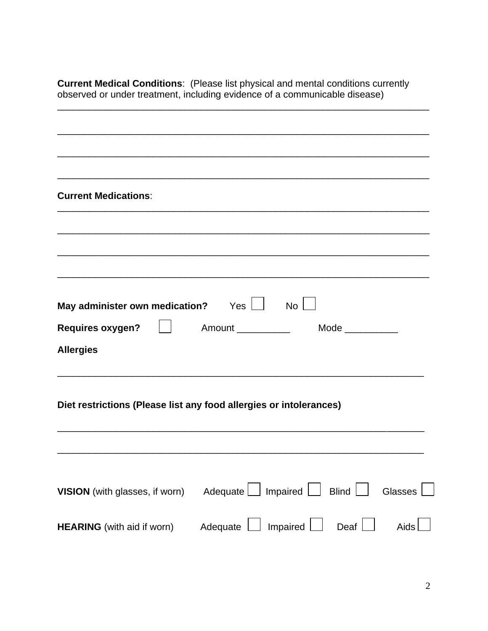**Current Medical Conditions**: (Please list physical and mental conditions currently observed or under treatment, including evidence of a communicable disease)

|                                                | ,我们也不能在这里的时候,我们也不能在这里的时候,我们也不能在这里的时候,我们也不能会在这里的时候,我们也不能会在这里的时候,我们也不能会在这里的时候,我们也不 |
|------------------------------------------------|----------------------------------------------------------------------------------|
|                                                |                                                                                  |
| <b>Current Medications:</b>                    |                                                                                  |
|                                                |                                                                                  |
|                                                |                                                                                  |
|                                                |                                                                                  |
|                                                |                                                                                  |
|                                                |                                                                                  |
| May administer own medication? $Yes$ $\Box$ No |                                                                                  |
|                                                |                                                                                  |
| Requires oxygen?                               | Amount ___________<br>Mode $\_\_$                                                |
| <b>Allergies</b>                               |                                                                                  |
|                                                |                                                                                  |
|                                                |                                                                                  |
|                                                | Diet restrictions (Please list any food allergies or intolerances)               |
|                                                |                                                                                  |
|                                                |                                                                                  |
|                                                |                                                                                  |
|                                                |                                                                                  |
| VISION (with glasses, if worn)                 | <b>Blind</b><br>Glasses<br>Adequate<br>Impaired                                  |
|                                                |                                                                                  |
| <b>HEARING</b> (with aid if worn)              | Impaired<br>Deaf<br>Adequate<br>Aids                                             |
|                                                |                                                                                  |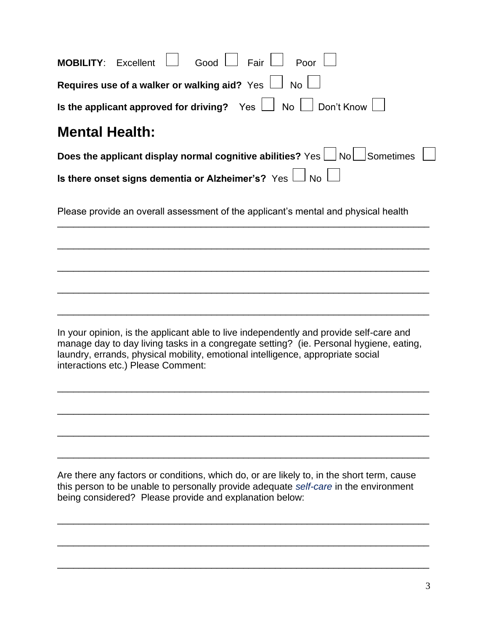| $\perp$ Poor<br>」 Fair<br>Good<br><b>MOBILITY: Excellent</b>                                                                                                                                                                                                                                              |  |  |  |  |  |  |  |
|-----------------------------------------------------------------------------------------------------------------------------------------------------------------------------------------------------------------------------------------------------------------------------------------------------------|--|--|--|--|--|--|--|
| Requires use of a walker or walking aid? Yes $\Box$ No $\Box$                                                                                                                                                                                                                                             |  |  |  |  |  |  |  |
| Is the applicant approved for driving? Yes $\bigsqcup$ No $\bigsqcup$ Don't Know $\bigsqcup$                                                                                                                                                                                                              |  |  |  |  |  |  |  |
| <b>Mental Health:</b>                                                                                                                                                                                                                                                                                     |  |  |  |  |  |  |  |
| Does the applicant display normal cognitive abilities? $Yes \Box No \Box So$ metimes                                                                                                                                                                                                                      |  |  |  |  |  |  |  |
| Is there onset signs dementia or Alzheimer's? $\,$ $\vee$ es $\,\Box\,$ No                                                                                                                                                                                                                                |  |  |  |  |  |  |  |
| Please provide an overall assessment of the applicant's mental and physical health                                                                                                                                                                                                                        |  |  |  |  |  |  |  |
|                                                                                                                                                                                                                                                                                                           |  |  |  |  |  |  |  |
|                                                                                                                                                                                                                                                                                                           |  |  |  |  |  |  |  |
|                                                                                                                                                                                                                                                                                                           |  |  |  |  |  |  |  |
|                                                                                                                                                                                                                                                                                                           |  |  |  |  |  |  |  |
| In your opinion, is the applicant able to live independently and provide self-care and<br>manage day to day living tasks in a congregate setting? (ie. Personal hygiene, eating,<br>laundry, errands, physical mobility, emotional intelligence, appropriate social<br>interactions etc.) Please Comment: |  |  |  |  |  |  |  |
|                                                                                                                                                                                                                                                                                                           |  |  |  |  |  |  |  |
|                                                                                                                                                                                                                                                                                                           |  |  |  |  |  |  |  |
|                                                                                                                                                                                                                                                                                                           |  |  |  |  |  |  |  |
| Are there any factors or conditions, which do, or are likely to, in the short term, cause<br>this person to be unable to personally provide adequate self-care in the environment<br>being considered? Please provide and explanation below:                                                              |  |  |  |  |  |  |  |

\_\_\_\_\_\_\_\_\_\_\_\_\_\_\_\_\_\_\_\_\_\_\_\_\_\_\_\_\_\_\_\_\_\_\_\_\_\_\_\_\_\_\_\_\_\_\_\_\_\_\_\_\_\_\_\_\_\_\_\_\_\_\_\_\_\_\_\_\_\_

\_

 $\overline{a}$ 

 $\overline{a}$ 

 $\overline{a}$ 

\_

 $\overline{a}$ 

\_

\_

 $\overline{a}$ 

\_\_\_\_\_\_\_\_\_\_\_\_\_\_\_\_\_\_\_\_\_\_\_\_\_\_\_\_\_\_\_\_\_\_\_\_\_\_\_\_\_\_\_\_\_\_\_\_\_\_\_\_\_\_\_\_\_\_\_\_\_\_\_\_\_\_\_\_\_\_

\_\_\_\_\_\_\_\_\_\_\_\_\_\_\_\_\_\_\_\_\_\_\_\_\_\_\_\_\_\_\_\_\_\_\_\_\_\_\_\_\_\_\_\_\_\_\_\_\_\_\_\_\_\_\_\_\_\_\_\_\_\_\_\_\_\_\_\_\_\_

 $\overline{a}$ 

 $\overline{a}$ 

 $\overline{a}$